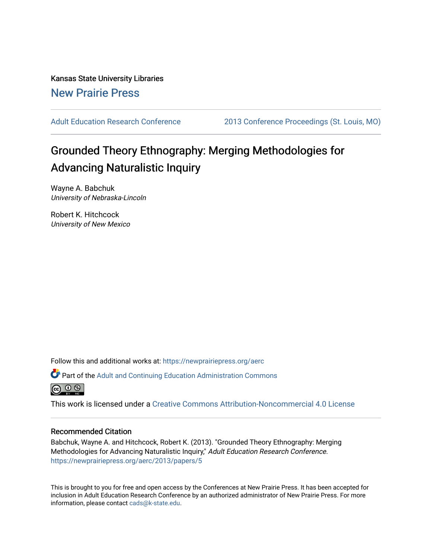Kansas State University Libraries [New Prairie Press](https://newprairiepress.org/) 

[Adult Education Research Conference](https://newprairiepress.org/aerc) [2013 Conference Proceedings \(St. Louis, MO\)](https://newprairiepress.org/aerc/2013) 

# Grounded Theory Ethnography: Merging Methodologies for Advancing Naturalistic Inquiry

Wayne A. Babchuk University of Nebraska-Lincoln

Robert K. Hitchcock University of New Mexico

Follow this and additional works at: [https://newprairiepress.org/aerc](https://newprairiepress.org/aerc?utm_source=newprairiepress.org%2Faerc%2F2013%2Fpapers%2F5&utm_medium=PDF&utm_campaign=PDFCoverPages)

Part of the [Adult and Continuing Education Administration Commons](http://network.bepress.com/hgg/discipline/789?utm_source=newprairiepress.org%2Faerc%2F2013%2Fpapers%2F5&utm_medium=PDF&utm_campaign=PDFCoverPages)



This work is licensed under a [Creative Commons Attribution-Noncommercial 4.0 License](https://creativecommons.org/licenses/by-nc/4.0/)

# Recommended Citation

Babchuk, Wayne A. and Hitchcock, Robert K. (2013). "Grounded Theory Ethnography: Merging Methodologies for Advancing Naturalistic Inquiry," Adult Education Research Conference. <https://newprairiepress.org/aerc/2013/papers/5>

This is brought to you for free and open access by the Conferences at New Prairie Press. It has been accepted for inclusion in Adult Education Research Conference by an authorized administrator of New Prairie Press. For more information, please contact [cads@k-state.edu](mailto:cads@k-state.edu).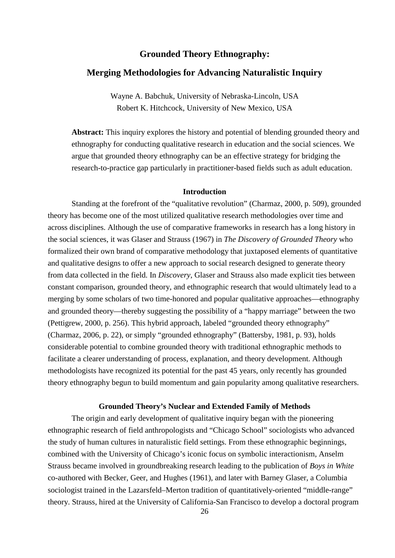# **Grounded Theory Ethnography:**

# **Merging Methodologies for Advancing Naturalistic Inquiry**

Wayne A. Babchuk, University of Nebraska-Lincoln, USA Robert K. Hitchcock, University of New Mexico, USA

**Abstract:** This inquiry explores the history and potential of blending grounded theory and ethnography for conducting qualitative research in education and the social sciences. We argue that grounded theory ethnography can be an effective strategy for bridging the research-to-practice gap particularly in practitioner-based fields such as adult education.

#### **Introduction**

Standing at the forefront of the "qualitative revolution" (Charmaz, 2000, p. 509), grounded theory has become one of the most utilized qualitative research methodologies over time and across disciplines. Although the use of comparative frameworks in research has a long history in the social sciences, it was Glaser and Strauss (1967) in *The Discovery of Grounded Theory* who formalized their own brand of comparative methodology that juxtaposed elements of quantitative and qualitative designs to offer a new approach to social research designed to generate theory from data collected in the field. In *Discovery*, Glaser and Strauss also made explicit ties between constant comparison, grounded theory, and ethnographic research that would ultimately lead to a merging by some scholars of two time-honored and popular qualitative approaches—ethnography and grounded theory—thereby suggesting the possibility of a "happy marriage" between the two (Pettigrew, 2000, p. 256). This hybrid approach, labeled "grounded theory ethnography" (Charmaz, 2006, p. 22), or simply "grounded ethnography" (Battersby, 1981, p. 93), holds considerable potential to combine grounded theory with traditional ethnographic methods to facilitate a clearer understanding of process, explanation, and theory development. Although methodologists have recognized its potential for the past 45 years, only recently has grounded theory ethnography begun to build momentum and gain popularity among qualitative researchers.

# **Grounded Theory's Nuclear and Extended Family of Methods**

The origin and early development of qualitative inquiry began with the pioneering ethnographic research of field anthropologists and "Chicago School" sociologists who advanced the study of human cultures in naturalistic field settings. From these ethnographic beginnings, combined with the University of Chicago's iconic focus on symbolic interactionism, Anselm Strauss became involved in groundbreaking research leading to the publication of *Boys in White* co-authored with Becker, Geer, and Hughes (1961), and later with Barney Glaser, a Columbia sociologist trained in the Lazarsfeld–Merton tradition of quantitatively-oriented "middle-range" theory. Strauss, hired at the University of California-San Francisco to develop a doctoral program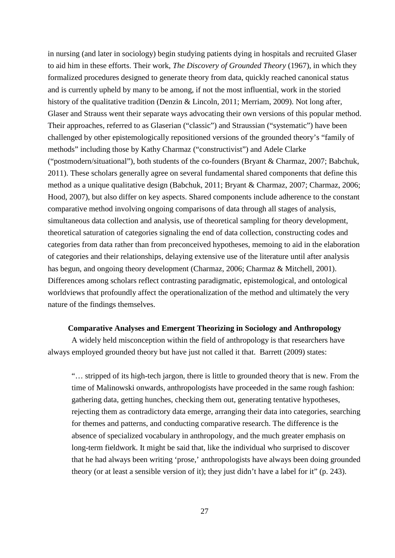in nursing (and later in sociology) begin studying patients dying in hospitals and recruited Glaser to aid him in these efforts. Their work, *The Discovery of Grounded Theory* (1967), in which they formalized procedures designed to generate theory from data, quickly reached canonical status and is currently upheld by many to be among, if not the most influential, work in the storied history of the qualitative tradition (Denzin & Lincoln, 2011; Merriam, 2009). Not long after, Glaser and Strauss went their separate ways advocating their own versions of this popular method. Their approaches, referred to as Glaserian ("classic") and Straussian ("systematic") have been challenged by other epistemologically repositioned versions of the grounded theory's "family of methods" including those by Kathy Charmaz ("constructivist") and Adele Clarke ("postmodern/situational"), both students of the co-founders (Bryant & Charmaz, 2007; Babchuk, 2011). These scholars generally agree on several fundamental shared components that define this method as a unique qualitative design (Babchuk, 2011; Bryant & Charmaz, 2007; Charmaz, 2006; Hood, 2007), but also differ on key aspects. Shared components include adherence to the constant comparative method involving ongoing comparisons of data through all stages of analysis, simultaneous data collection and analysis, use of theoretical sampling for theory development, theoretical saturation of categories signaling the end of data collection, constructing codes and categories from data rather than from preconceived hypotheses, memoing to aid in the elaboration of categories and their relationships, delaying extensive use of the literature until after analysis has begun, and ongoing theory development (Charmaz, 2006; Charmaz & Mitchell, 2001). Differences among scholars reflect contrasting paradigmatic, epistemological, and ontological worldviews that profoundly affect the operationalization of the method and ultimately the very nature of the findings themselves.

#### **Comparative Analyses and Emergent Theorizing in Sociology and Anthropology**

A widely held misconception within the field of anthropology is that researchers have always employed grounded theory but have just not called it that. Barrett (2009) states:

"… stripped of its high-tech jargon, there is little to grounded theory that is new. From the time of Malinowski onwards, anthropologists have proceeded in the same rough fashion: gathering data, getting hunches, checking them out, generating tentative hypotheses, rejecting them as contradictory data emerge, arranging their data into categories, searching for themes and patterns, and conducting comparative research. The difference is the absence of specialized vocabulary in anthropology, and the much greater emphasis on long-term fieldwork. It might be said that, like the individual who surprised to discover that he had always been writing 'prose,' anthropologists have always been doing grounded theory (or at least a sensible version of it); they just didn't have a label for it" (p. 243).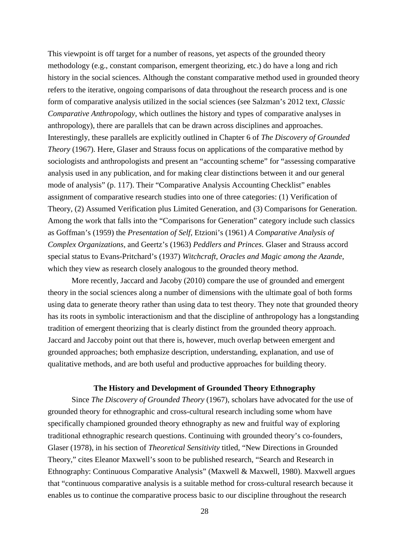This viewpoint is off target for a number of reasons, yet aspects of the grounded theory methodology (e.g., constant comparison, emergent theorizing, etc.) do have a long and rich history in the social sciences. Although the constant comparative method used in grounded theory refers to the iterative, ongoing comparisons of data throughout the research process and is one form of comparative analysis utilized in the social sciences (see Salzman's 2012 text, *Classic Comparative Anthropology*, which outlines the history and types of comparative analyses in anthropology), there are parallels that can be drawn across disciplines and approaches. Interestingly, these parallels are explicitly outlined in Chapter 6 of *The Discovery of Grounded Theory* (1967). Here, Glaser and Strauss focus on applications of the comparative method by sociologists and anthropologists and present an "accounting scheme" for "assessing comparative analysis used in any publication, and for making clear distinctions between it and our general mode of analysis" (p. 117). Their "Comparative Analysis Accounting Checklist" enables assignment of comparative research studies into one of three categories: (1) Verification of Theory, (2) Assumed Verification plus Limited Generation, and (3) Comparisons for Generation. Among the work that falls into the "Comparisons for Generation" category include such classics as Goffman's (1959) the *Presentation of Self*, Etzioni's (1961) *A Comparative Analysis of Complex Organizations*, and Geertz's (1963) *Peddlers and Princes*. Glaser and Strauss accord special status to Evans-Pritchard's (1937) *Witchcraft, Oracles and Magic among the Azande*, which they view as research closely analogous to the grounded theory method.

More recently, Jaccard and Jacoby (2010) compare the use of grounded and emergent theory in the social sciences along a number of dimensions with the ultimate goal of both forms using data to generate theory rather than using data to test theory. They note that grounded theory has its roots in symbolic interactionism and that the discipline of anthropology has a longstanding tradition of emergent theorizing that is clearly distinct from the grounded theory approach. Jaccard and Jaccoby point out that there is, however, much overlap between emergent and grounded approaches; both emphasize description, understanding, explanation, and use of qualitative methods, and are both useful and productive approaches for building theory.

## **The History and Development of Grounded Theory Ethnography**

Since *The Discovery of Grounded Theory* (1967), scholars have advocated for the use of grounded theory for ethnographic and cross-cultural research including some whom have specifically championed grounded theory ethnography as new and fruitful way of exploring traditional ethnographic research questions. Continuing with grounded theory's co-founders, Glaser (1978), in his section of *Theoretical Sensitivity* titled, "New Directions in Grounded Theory," cites Eleanor Maxwell's soon to be published research, "Search and Research in Ethnography: Continuous Comparative Analysis" (Maxwell & Maxwell, 1980). Maxwell argues that "continuous comparative analysis is a suitable method for cross-cultural research because it enables us to continue the comparative process basic to our discipline throughout the research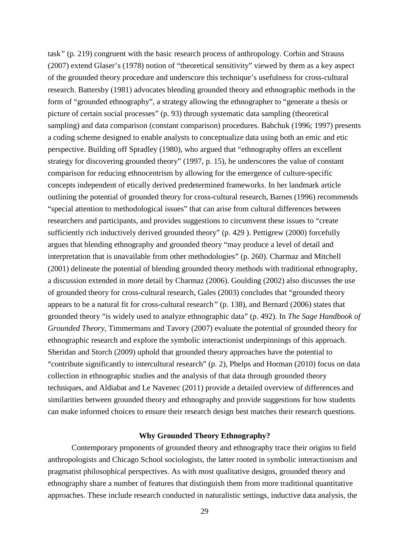task*"* (p. 219) congruent with the basic research process of anthropology. Corbin and Strauss (2007) extend Glaser's (1978) notion of "theoretical sensitivity" viewed by them as a key aspect of the grounded theory procedure and underscore this technique's usefulness for cross-cultural research. Battersby (1981) advocates blending grounded theory and ethnographic methods in the form of "grounded ethnography", a strategy allowing the ethnographer to "generate a thesis or picture of certain social processes" (p. 93) through systematic data sampling (theoretical sampling) and data comparison (constant comparison) procedures. Babchuk (1996; 1997) presents a coding scheme designed to enable analysts to conceptualize data using both an emic and etic perspective. Building off Spradley (1980), who argued that "ethnography offers an excellent strategy for discovering grounded theory" (1997, p. 15), he underscores the value of constant comparison for reducing ethnocentrism by allowing for the emergence of culture-specific concepts independent of etically derived predetermined frameworks. In her landmark article outlining the potential of grounded theory for cross-cultural research, Barnes (1996) recommends "special attention to methodological issues" that can arise from cultural differences between researchers and participants, and provides suggestions to circumvent these issues to "create sufficiently rich inductively derived grounded theory" (p. 429 ). Pettigrew (2000) forcefully argues that blending ethnography and grounded theory "may produce a level of detail and interpretation that is unavailable from other methodologies" (p. 260). Charmaz and Mitchell (2001) delineate the potential of blending grounded theory methods with traditional ethnography, a discussion extended in more detail by Charmaz (2006). Goulding (2002) also discusses the use of grounded theory for cross-cultural research, Gales (2003) concludes that "grounded theory appears to be a natural fit for cross-cultural research*"* (p. 138), and Bernard (2006) states that grounded theory "is widely used to analyze ethnographic data" (p. 492). In *The Sage Handbook of Grounded Theory,* Timmermans and Tavory (2007) evaluate the potential of grounded theory for ethnographic research and explore the symbolic interactionist underpinnings of this approach. Sheridan and Storch (2009) uphold that grounded theory approaches have the potential to "contribute significantly to intercultural research" (p. 2), Phelps and Horman (2010) focus on data collection in ethnographic studies and the analysis of that data through grounded theory techniques, and Aldiabat and Le Navenec (2011) provide a detailed overview of differences and similarities between grounded theory and ethnography and provide suggestions for how students can make informed choices to ensure their research design best matches their research questions.

## **Why Grounded Theory Ethnography?**

Contemporary proponents of grounded theory and ethnography trace their origins to field anthropologists and Chicago School sociologists, the latter rooted in symbolic interactionism and pragmatist philosophical perspectives. As with most qualitative designs, grounded theory and ethnography share a number of features that distinguish them from more traditional quantitative approaches. These include research conducted in naturalistic settings, inductive data analysis, the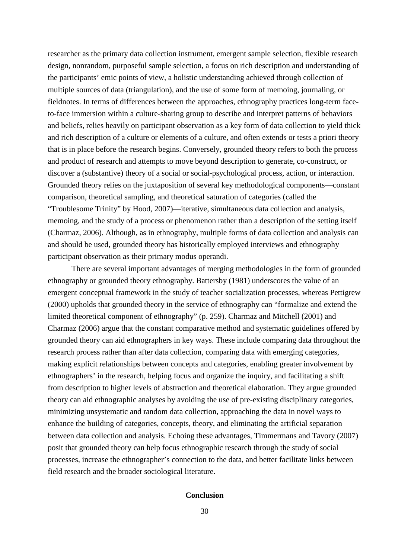researcher as the primary data collection instrument, emergent sample selection, flexible research design, nonrandom, purposeful sample selection, a focus on rich description and understanding of the participants' emic points of view, a holistic understanding achieved through collection of multiple sources of data (triangulation), and the use of some form of memoing, journaling, or fieldnotes. In terms of differences between the approaches, ethnography practices long-term faceto-face immersion within a culture-sharing group to describe and interpret patterns of behaviors and beliefs, relies heavily on participant observation as a key form of data collection to yield thick and rich description of a culture or elements of a culture, and often extends or tests a priori theory that is in place before the research begins. Conversely, grounded theory refers to both the process and product of research and attempts to move beyond description to generate, co-construct, or discover a (substantive) theory of a social or social-psychological process, action, or interaction. Grounded theory relies on the juxtaposition of several key methodological components—constant comparison, theoretical sampling, and theoretical saturation of categories (called the "Troublesome Trinity" by Hood, 2007)—iterative, simultaneous data collection and analysis, memoing, and the study of a process or phenomenon rather than a description of the setting itself (Charmaz, 2006). Although, as in ethnography, multiple forms of data collection and analysis can and should be used, grounded theory has historically employed interviews and ethnography participant observation as their primary modus operandi.

There are several important advantages of merging methodologies in the form of grounded ethnography or grounded theory ethnography. Battersby (1981) underscores the value of an emergent conceptual framework in the study of teacher socialization processes, whereas Pettigrew (2000) upholds that grounded theory in the service of ethnography can "formalize and extend the limited theoretical component of ethnography" (p. 259). Charmaz and Mitchell (2001) and Charmaz (2006) argue that the constant comparative method and systematic guidelines offered by grounded theory can aid ethnographers in key ways. These include comparing data throughout the research process rather than after data collection, comparing data with emerging categories, making explicit relationships between concepts and categories, enabling greater involvement by ethnographers' in the research, helping focus and organize the inquiry, and facilitating a shift from description to higher levels of abstraction and theoretical elaboration. They argue grounded theory can aid ethnographic analyses by avoiding the use of pre-existing disciplinary categories, minimizing unsystematic and random data collection, approaching the data in novel ways to enhance the building of categories, concepts, theory, and eliminating the artificial separation between data collection and analysis. Echoing these advantages, Timmermans and Tavory (2007) posit that grounded theory can help focus ethnographic research through the study of social processes, increase the ethnographer's connection to the data, and better facilitate links between field research and the broader sociological literature.

## **Conclusion**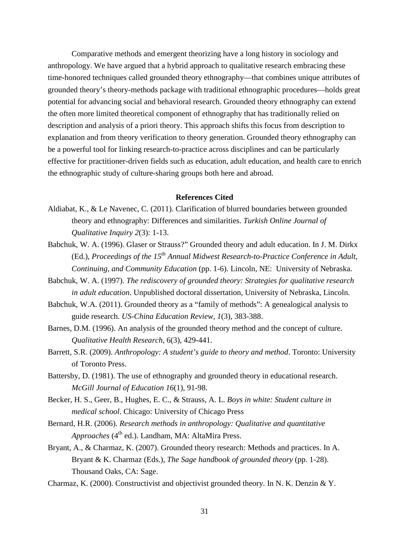Comparative methods and emergent theorizing have a long history in sociology and anthropology. We have argued that a hybrid approach to qualitative research embracing these time-honored techniques called grounded theory ethnography—that combines unique attributes of grounded theory's theory-methods package with traditional ethnographic procedures—holds great potential for advancing social and behavioral research. Grounded theory ethnography can extend the often more limited theoretical component of ethnography that has traditionally relied on description and analysis of a priori theory. This approach shifts this focus from description to explanation and from theory verification to theory generation. Grounded theory ethnography can be a powerful tool for linking research-to-practice across disciplines and can be particularly effective for practitioner-driven fields such as education, adult education, and health care to enrich the ethnographic study of culture-sharing groups both here and abroad.

## **References Cited**

- Aldiabat, K., & Le Navenec, C. (2011). Clarification of blurred boundaries between grounded theory and ethnography: Differences and similarities. *Turkish Online Journal of Qualitative Inquiry 2*(3): 1-13.
- Babchuk, W. A. (1996). Glaser or Strauss?" Grounded theory and adult education. In J. M. Dirkx (Ed.), *Proceedings of the 15th Annual Midwest Research-to-Practice Conference in Adult, Continuing, and Community Education* (pp. 1-6). Lincoln, NE: University of Nebraska.
- Babchuk, W. A. (1997). *The rediscovery of grounded theory: Strategies for qualitative research in adult education*. Unpublished doctoral dissertation, University of Nebraska, Lincoln.
- Babchuk, W.A. (2011). Grounded theory as a "family of methods": A genealogical analysis to guide research. *US-China Education Review*, *1*(3), 383-388.
- Barnes, D.M. (1996). An analysis of the grounded theory method and the concept of culture. *Qualitative Health Research*, 6(3), 429-441.
- Barrett, S.R. (2009). *Anthropology: A student's guide to theory and method*. Toronto: University of Toronto Press.
- Battersby, D. (1981). The use of ethnography and grounded theory in educational research. *McGill Journal of Education 16*(1), 91-98.
- Becker, H. S., Geer, B., Hughes, E. C., & Strauss, A. L. *Boys in white: Student culture in medical school*. Chicago: University of Chicago Press
- Bernard, H.R. (2006). *Research methods in anthropology: Qualitative and quantitative Approaches* (4<sup>th</sup> ed.). Landham, MA: AltaMira Press.
- Bryant, A., & Charmaz, K. (2007). Grounded theory research: Methods and practices. In A. Bryant & K. Charmaz (Eds.), *The Sage handbook of grounded theory* (pp. 1-28). Thousand Oaks, CA: Sage.
- Charmaz, K. (2000). Constructivist and objectivist grounded theory. In N. K. Denzin & Y.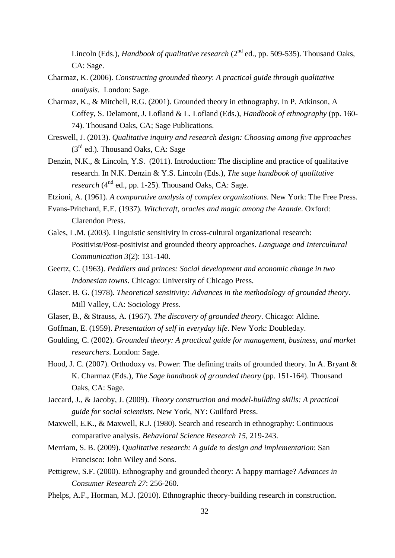Lincoln (Eds.), *Handbook of qualitative research* (2<sup>nd</sup> ed., pp. 509-535). Thousand Oaks, CA: Sage.

- Charmaz, K. (2006). *Constructing grounded theory*: *A practical guide through qualitative analysis.* London: Sage.
- Charmaz, K., & Mitchell, R.G. (2001). Grounded theory in ethnography. In P. Atkinson, A Coffey, S. Delamont, J. Lofland & L. Lofland (Eds.), *Handbook of ethnography* (pp. 160- 74). Thousand Oaks, CA; Sage Publications.
- Creswell, J. (2013). *Qualitative inquiry and research design: Choosing among five approaches* (3rd ed.). Thousand Oaks, CA: Sage
- Denzin, N.K., & Lincoln, Y.S. (2011). Introduction: The discipline and practice of qualitative research. In N.K. Denzin & Y.S. Lincoln (Eds.), *The sage handbook of qualitative research* (4<sup>nd</sup> ed., pp. 1-25). Thousand Oaks, CA: Sage.
- Etzioni, A. (1961). *A comparative analysis of complex organizations*. New York: The Free Press.
- Evans-Pritchard, E.E. (1937). *Witchcraft, oracles and magic among the Azande*. Oxford: Clarendon Press.
- Gales, L.M. (2003). Linguistic sensitivity in cross-cultural organizational research: Positivist/Post-positivist and grounded theory approaches. *Language and Intercultural Communication 3*(2): 131-140.
- Geertz, C. (1963). *Peddlers and princes: Social development and economic change in two Indonesian towns*. Chicago: University of Chicago Press.
- Glaser. B. G. (1978). *Theoretical sensitivity: Advances in the methodology of grounded theory*. Mill Valley, CA: Sociology Press.
- Glaser, B., & Strauss, A. (1967). *The discovery of grounded theory*. Chicago: Aldine.
- Goffman, E. (1959). *Presentation of self in everyday life*. New York: Doubleday.
- Goulding, C. (2002). *Grounded theory: A practical guide for management, business, and market researchers*. London: Sage.
- Hood, J. C. (2007). Orthodoxy vs. Power: The defining traits of grounded theory. In A. Bryant & K. Charmaz (Eds.), *The Sage handbook of grounded theory* (pp. 151-164). Thousand Oaks, CA: Sage.
- Jaccard, J., & Jacoby, J. (2009). *Theory construction and model-building skills: A practical guide for social scientists.* New York, NY: Guilford Press.
- Maxwell, E.K., & Maxwell, R.J. (1980). Search and research in ethnography: Continuous comparative analysis. *Behavioral Science Research 15*, 219-243.
- Merriam, S. B. (2009). Q*ualitative research: A guide to design and implementation*: San Francisco: John Wiley and Sons.
- Pettigrew, S.F. (2000). Ethnography and grounded theory: A happy marriage? *Advances in Consumer Research 27*: 256-260.
- Phelps, A.F., Horman, M.J. (2010). Ethnographic theory-building research in construction.